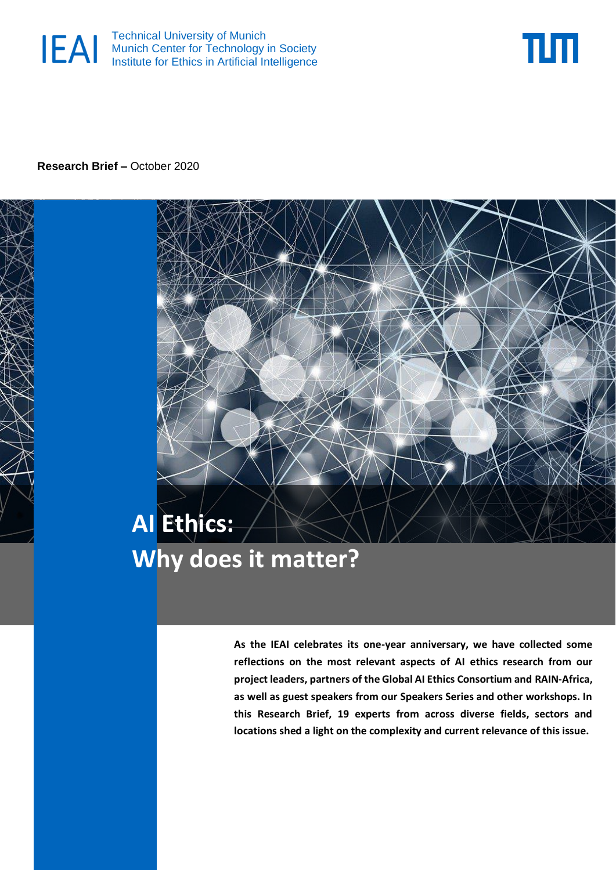

Technical University of Munich Munich Center for Technology in Society Institute for Ethics in Artificial Intelligence



**Research Brief –** October 2020



# **Why does it matter?**

<https://ieai.mcts.tum.de/>IEAI Research Brief **1**

**As the IEAI celebrates its one-year anniversary, we have collected some reflections on the most relevant aspects of AI ethics research from our project leaders, partners of the Global AI Ethics Consortium and RAIN-Africa, as well as guest speakers from our Speakers Series and other workshops. In this Research Brief, 19 experts from across diverse fields, sectors and locations shed a light on the complexity and current relevance of this issue.**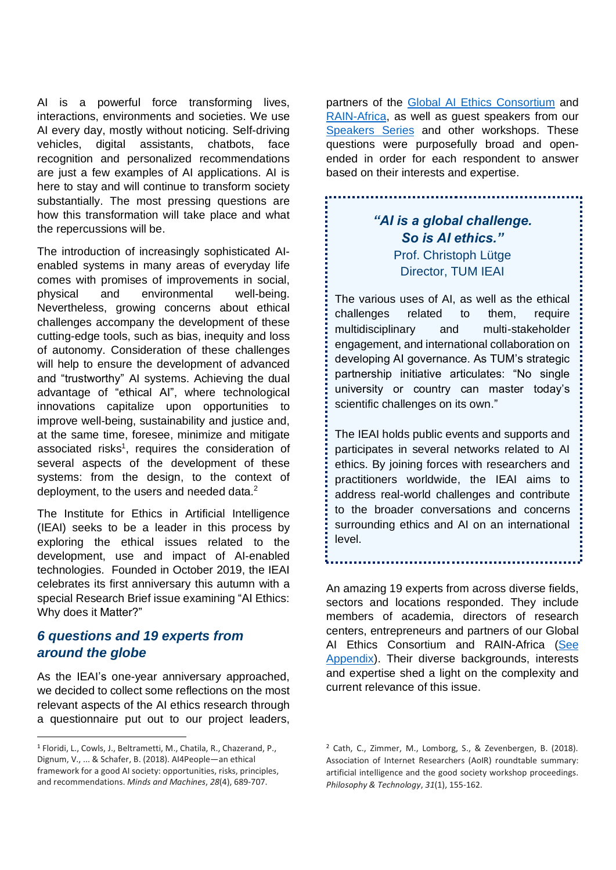AI is a powerful force transforming lives, interactions, environments and societies. We use AI every day, mostly without noticing. Self-driving vehicles, digital assistants, chatbots, face recognition and personalized recommendations are just a few examples of AI applications. AI is here to stay and will continue to transform society substantially. The most pressing questions are how this transformation will take place and what the repercussions will be.

The introduction of increasingly sophisticated AIenabled systems in many areas of everyday life comes with promises of improvements in social, physical and environmental well-being. Nevertheless, growing concerns about ethical challenges accompany the development of these cutting-edge tools, such as bias, inequity and loss of autonomy. Consideration of these challenges will help to ensure the development of advanced and "trustworthy" AI systems. Achieving the dual advantage of "ethical AI", where technological innovations capitalize upon opportunities to improve well-being, sustainability and justice and, at the same time, foresee, minimize and mitigate associated risks<sup>1</sup>, requires the consideration of several aspects of the development of these systems: from the design, to the context of deployment, to the users and needed data.<sup>2</sup>

The Institute for Ethics in Artificial Intelligence (IEAI) seeks to be a leader in this process by exploring the ethical issues related to the development, use and impact of AI-enabled technologies. Founded in October 2019, the IEAI celebrates its first anniversary this autumn with a special Research Brief issue examining "AI Ethics: Why does it Matter?"

## *6 questions and 19 experts from around the globe*

As the IEAI's one-year anniversary approached, we decided to collect some reflections on the most relevant aspects of the AI ethics research through a questionnaire put out to our project leaders,

partners of the Global AI Ethics [Consortium](https://ieai.mcts.tum.de/global-ai-ethics-consortium/) and [RAIN-Africa,](https://ieai.mcts.tum.de/responsible-ai-in-africa-network/) as well as guest speakers from our [Speakers](https://ieai.mcts.tum.de/events/) Series and other workshops. These questions were purposefully broad and openended in order for each respondent to answer based on their interests and expertise.

# *"AI is a global challenge. So is AI ethics."* Prof. Christoph Lütge Director, TUM IEAI

The various uses of AI, as well as the ethical challenges related to them, require multidisciplinary and multi-stakeholder engagement, and international collaboration on developing AI governance. As TUM's strategic partnership initiative articulates: "No single university or country can master today's scientific challenges on its own."

The IEAI holds public events and supports and participates in several networks related to AI ethics. By joining forces with researchers and practitioners worldwide, the IEAI aims to address real-world challenges and contribute to the broader conversations and concerns surrounding ethics and AI on an international level.

An amazing 19 experts from across diverse fields, sectors and locations responded. They include members of academia, directors of research centers, entrepreneurs and partners of our Global AI Ethics Consortium and RAIN-Africa [\(See](#page-6-0) [Appendix\)](#page-6-0). Their diverse backgrounds, interests and expertise shed a light on the complexity and current relevance of this issue.

<sup>1</sup> Floridi, L., Cowls, J., Beltrametti, M., Chatila, R., Chazerand, P., Dignum, V., ... & Schafer, B. (2018). AI4People—an ethical framework for a good AI society: opportunities, risks, principles, and recommendations. *Minds and Machines*, *28*(4), 689-707.

<sup>2</sup> Cath, C., Zimmer, M., Lomborg, S., & Zevenbergen, B. (2018). Association of Internet Researchers (AoIR) roundtable summary: artificial intelligence and the good society workshop proceedings. *Philosophy & Technology*, *31*(1), 155-162.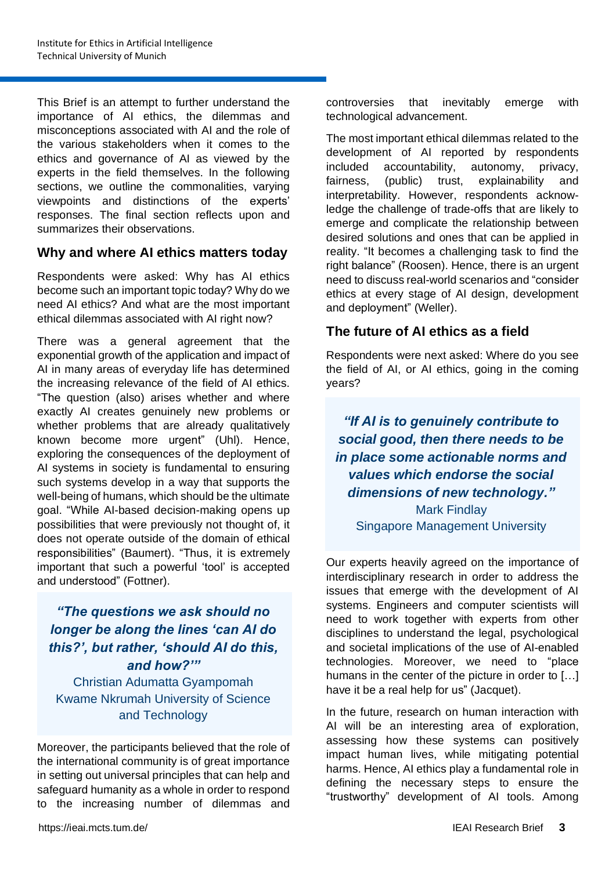This Brief is an attempt to further understand the importance of AI ethics, the dilemmas and misconceptions associated with AI and the role of the various stakeholders when it comes to the ethics and governance of AI as viewed by the experts in the field themselves. In the following sections, we outline the commonalities, varying viewpoints and distinctions of the experts' responses. The final section reflects upon and summarizes their observations.

# **Why and where AI ethics matters today**

Respondents were asked: Why has AI ethics become such an important topic today? Why do we need AI ethics? And what are the most important ethical dilemmas associated with AI right now?

There was a general agreement that the exponential growth of the application and impact of AI in many areas of everyday life has determined the increasing relevance of the field of AI ethics. "The question (also) arises whether and where exactly AI creates genuinely new problems or whether problems that are already qualitatively known become more urgent" (Uhl). Hence, exploring the consequences of the deployment of AI systems in society is fundamental to ensuring such systems develop in a way that supports the well-being of humans, which should be the ultimate goal. "While AI-based decision-making opens up possibilities that were previously not thought of, it does not operate outside of the domain of ethical responsibilities" (Baumert). "Thus, it is extremely important that such a powerful 'tool' is accepted and understood" (Fottner).

# *"The questions we ask should no longer be along the lines 'can AI do this?', but rather, 'should AI do this, and how?'"*

Christian Adumatta Gyampomah Kwame Nkrumah University of Science and Technology

Moreover, the participants believed that the role of the international community is of great importance in setting out universal principles that can help and safeguard humanity as a whole in order to respond to the increasing number of dilemmas and

controversies that inevitably emerge with technological advancement.

The most important ethical dilemmas related to the development of AI reported by respondents included accountability, autonomy, privacy, fairness, (public) trust, explainability and interpretability. However, respondents acknowledge the challenge of trade-offs that are likely to emerge and complicate the relationship between desired solutions and ones that can be applied in reality. "It becomes a challenging task to find the right balance" (Roosen). Hence, there is an urgent need to discuss real-world scenarios and "consider ethics at every stage of AI design, development and deployment" (Weller).

# **The future of AI ethics as a field**

Respondents were next asked: Where do you see the field of AI, or AI ethics, going in the coming years?

*"If AI is to genuinely contribute to social good, then there needs to be in place some actionable norms and values which endorse the social dimensions of new technology."*  Mark Findlay Singapore Management University

Our experts heavily agreed on the importance of interdisciplinary research in order to address the issues that emerge with the development of AI systems. Engineers and computer scientists will need to work together with experts from other disciplines to understand the legal, psychological and societal implications of the use of AI-enabled technologies. Moreover, we need to "place humans in the center of the picture in order to […] have it be a real help for us" (Jacquet).

In the future, research on human interaction with AI will be an interesting area of exploration, assessing how these systems can positively impact human lives, while mitigating potential harms. Hence, AI ethics play a fundamental role in defining the necessary steps to ensure the "trustworthy" development of AI tools. Among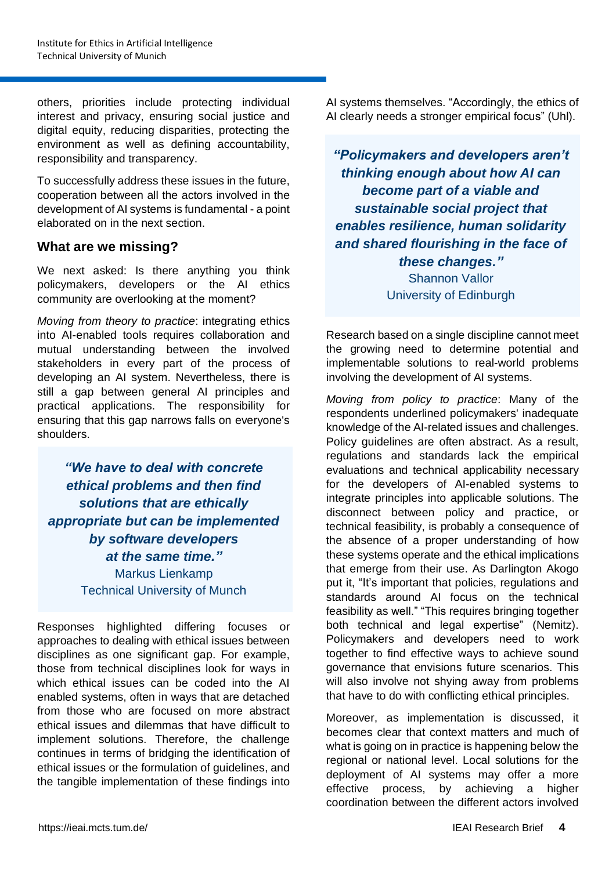others, priorities include protecting individual interest and privacy, ensuring social justice and digital equity, reducing disparities, protecting the environment as well as defining accountability, responsibility and transparency.

To successfully address these issues in the future, cooperation between all the actors involved in the development of AI systems is fundamental - a point elaborated on in the next section.

## **What are we missing?**

We next asked: Is there anything you think policymakers, developers or the AI ethics community are overlooking at the moment?

*Moving from theory to practice*: integrating ethics into AI-enabled tools requires collaboration and mutual understanding between the involved stakeholders in every part of the process of developing an AI system. Nevertheless, there is still a gap between general AI principles and practical applications. The responsibility for ensuring that this gap narrows falls on everyone's shoulders.

*"We have to deal with concrete ethical problems and then find solutions that are ethically appropriate but can be implemented by software developers at the same time."* Markus Lienkamp Technical University of Munch

Responses highlighted differing focuses or approaches to dealing with ethical issues between disciplines as one significant gap. For example, those from technical disciplines look for ways in which ethical issues can be coded into the AI enabled systems, often in ways that are detached from those who are focused on more abstract ethical issues and dilemmas that have difficult to implement solutions. Therefore, the challenge continues in terms of bridging the identification of ethical issues or the formulation of guidelines, and the tangible implementation of these findings into AI systems themselves. "Accordingly, the ethics of AI clearly needs a stronger empirical focus" (Uhl).

*"Policymakers and developers aren't thinking enough about how AI can become part of a viable and sustainable social project that enables resilience, human solidarity and shared flourishing in the face of these changes."*  Shannon Vallor University of Edinburgh

Research based on a single discipline cannot meet the growing need to determine potential and implementable solutions to real-world problems involving the development of AI systems.

*Moving from policy to practice*: Many of the respondents underlined policymakers' inadequate knowledge of the AI-related issues and challenges. Policy guidelines are often abstract. As a result, regulations and standards lack the empirical evaluations and technical applicability necessary for the developers of AI-enabled systems to integrate principles into applicable solutions. The disconnect between policy and practice, or technical feasibility, is probably a consequence of the absence of a proper understanding of how these systems operate and the ethical implications that emerge from their use. As Darlington Akogo put it, "It's important that policies, regulations and standards around AI focus on the technical feasibility as well." "This requires bringing together both technical and legal expertise" (Nemitz). Policymakers and developers need to work together to find effective ways to achieve sound governance that envisions future scenarios. This will also involve not shying away from problems that have to do with conflicting ethical principles.

Moreover, as implementation is discussed, it becomes clear that context matters and much of what is going on in practice is happening below the regional or national level. Local solutions for the deployment of AI systems may offer a more effective process, by achieving a higher coordination between the different actors involved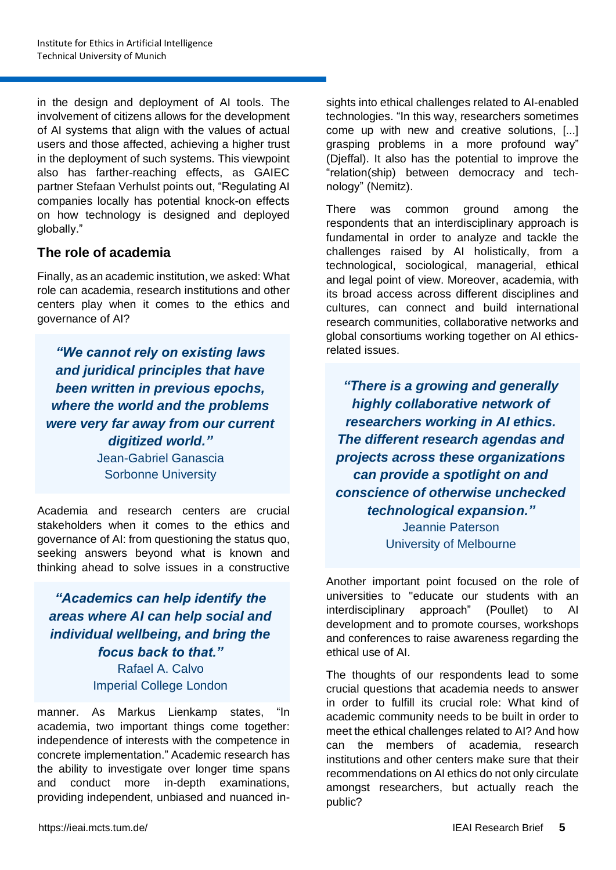in the design and deployment of AI tools. The involvement of citizens allows for the development of AI systems that align with the values of actual users and those affected, achieving a higher trust in the deployment of such systems. This viewpoint also has farther-reaching effects, as GAIEC partner Stefaan Verhulst points out, "Regulating AI companies locally has potential knock-on effects on how technology is designed and deployed globally."

## **The role of academia**

Finally, as an academic institution, we asked: What role can academia, research institutions and other centers play when it comes to the ethics and governance of AI?

*"We cannot rely on existing laws and juridical principles that have been written in previous epochs, where the world and the problems were very far away from our current digitized world."*  Jean-Gabriel Ganascia Sorbonne University

Academia and research centers are crucial stakeholders when it comes to the ethics and governance of AI: from questioning the status quo, seeking answers beyond what is known and thinking ahead to solve issues in a constructive

*"Academics can help identify the areas where AI can help social and individual wellbeing, and bring the focus back to that."*  Rafael A. Calvo

Imperial College London

manner. As Markus Lienkamp states, "In academia, two important things come together: independence of interests with the competence in concrete implementation." Academic research has the ability to investigate over longer time spans and conduct more in-depth examinations, providing independent, unbiased and nuanced insights into ethical challenges related to AI-enabled technologies. "In this way, researchers sometimes come up with new and creative solutions, [...] grasping problems in a more profound way" (Djeffal). It also has the potential to improve the "relation(ship) between democracy and technology" (Nemitz).

There was common ground among the respondents that an interdisciplinary approach is fundamental in order to analyze and tackle the challenges raised by AI holistically, from a technological, sociological, managerial, ethical and legal point of view. Moreover, academia, with its broad access across different disciplines and cultures, can connect and build international research communities, collaborative networks and global consortiums working together on AI ethicsrelated issues.

*"There is a growing and generally highly collaborative network of researchers working in AI ethics. The different research agendas and projects across these organizations can provide a spotlight on and conscience of otherwise unchecked technological expansion."* Jeannie Paterson University of Melbourne

Another important point focused on the role of universities to "educate our students with an interdisciplinary approach" (Poullet) to AI development and to promote courses, workshops and conferences to raise awareness regarding the ethical use of AI.

The thoughts of our respondents lead to some crucial questions that academia needs to answer in order to fulfill its crucial role: What kind of academic community needs to be built in order to meet the ethical challenges related to AI? And how can the members of academia, research institutions and other centers make sure that their recommendations on AI ethics do not only circulate amongst researchers, but actually reach the public?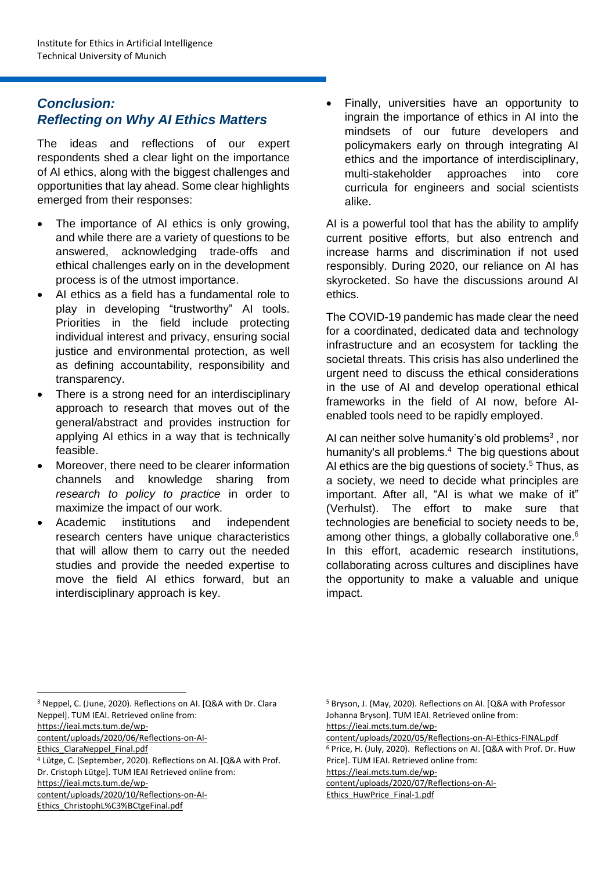# *Conclusion: Reflecting on Why AI Ethics Matters*

The ideas and reflections of our expert respondents shed a clear light on the importance of AI ethics, along with the biggest challenges and opportunities that lay ahead. Some clear highlights emerged from their responses:

- The importance of AI ethics is only growing, and while there are a variety of questions to be answered, acknowledging trade-offs and ethical challenges early on in the development process is of the utmost importance.
- AI ethics as a field has a fundamental role to play in developing "trustworthy" AI tools. Priorities in the field include protecting individual interest and privacy, ensuring social justice and environmental protection, as well as defining accountability, responsibility and transparency.
- There is a strong need for an interdisciplinary approach to research that moves out of the general/abstract and provides instruction for applying AI ethics in a way that is technically feasible.
- Moreover, there need to be clearer information channels and knowledge sharing from *research to policy to practice* in order to maximize the impact of our work.
- Academic institutions and independent research centers have unique characteristics that will allow them to carry out the needed studies and provide the needed expertise to move the field AI ethics forward, but an interdisciplinary approach is key.

• Finally, universities have an opportunity to ingrain the importance of ethics in AI into the mindsets of our future developers and policymakers early on through integrating AI ethics and the importance of interdisciplinary, multi-stakeholder approaches into core curricula for engineers and social scientists alike.

AI is a powerful tool that has the ability to amplify current positive efforts, but also entrench and increase harms and discrimination if not used responsibly. During 2020, our reliance on AI has skyrocketed. So have the discussions around AI ethics.

The COVID-19 pandemic has made clear the need for a coordinated, dedicated data and technology infrastructure and an ecosystem for tackling the societal threats. This crisis has also underlined the urgent need to discuss the ethical considerations in the use of AI and develop operational ethical frameworks in the field of AI now, before AIenabled tools need to be rapidly employed.

AI can neither solve humanity's old problems $3$ , nor humanity's all problems. 4 The big questions about AI ethics are the big questions of society. <sup>5</sup> Thus, as a society, we need to decide what principles are important. After all, "AI is what we make of it" (Verhulst). The effort to make sure that technologies are beneficial to society needs to be, among other things, a globally collaborative one. $6$ In this effort, academic research institutions, collaborating across cultures and disciplines have the opportunity to make a valuable and unique impact.

<sup>3</sup> Neppel, C. (June, 2020). Reflections on AI. [Q&A with Dr. Clara Neppel]. TUM IEAI. Retrieved online fro[m:](https://ieai.mcts.tum.de/wp-content/uploads/2020/06/Reflections-on-AI-Ethics_ClaraNeppel_Final.pdf)

[https://ieai.mcts.tum.de/wp-](https://ieai.mcts.tum.de/wp-content/uploads/2020/06/Reflections-on-AI-Ethics_ClaraNeppel_Final.pdf)

[content/uploads/2020/06/Reflections-on-AI-](https://ieai.mcts.tum.de/wp-content/uploads/2020/06/Reflections-on-AI-Ethics_ClaraNeppel_Final.pdf)

[Ethics\\_ClaraNeppel\\_Final.pdf](https://ieai.mcts.tum.de/wp-content/uploads/2020/06/Reflections-on-AI-Ethics_ClaraNeppel_Final.pdf)

<sup>4</sup> Lütge, C. (September, 2020). Reflections on AI. [Q&A with Prof. Dr. Cristoph Lütge]. TUM IEAI Retrieved online fro[m:](https://ieai.mcts.tum.de/wp-content/uploads/2020/10/Reflections-on-AI-Ethics_ChristophL%C3%BCtgeFinal.pdf) [https://ieai.mcts.tum.de/wp-](https://ieai.mcts.tum.de/wp-content/uploads/2020/10/Reflections-on-AI-Ethics_ChristophL%C3%BCtgeFinal.pdf)

[content/uploads/2020/10/Reflections-on-AI-](https://ieai.mcts.tum.de/wp-content/uploads/2020/10/Reflections-on-AI-Ethics_ChristophL%C3%BCtgeFinal.pdf)

[Ethics\\_ChristophL%C3%BCtgeFinal.pdf](https://ieai.mcts.tum.de/wp-content/uploads/2020/10/Reflections-on-AI-Ethics_ChristophL%C3%BCtgeFinal.pdf)

<sup>5</sup> Bryson, J. (May, 2020). Reflections on AI. [Q&A with Professor Johanna Bryson]. TUM IEAI. Retrieved online fro[m:](https://ieai.mcts.tum.de/wp-content/uploads/2020/05/Reflections-on-AI-Ethics-FINAL.pdf) [https://ieai.mcts.tum.de/wp-](https://ieai.mcts.tum.de/wp-content/uploads/2020/05/Reflections-on-AI-Ethics-FINAL.pdf)

[content/uploads/2020/05/Reflections-on-AI-Ethics-FINAL.pdf](https://ieai.mcts.tum.de/wp-content/uploads/2020/05/Reflections-on-AI-Ethics-FINAL.pdf)

<sup>6</sup> Price, H. (July, 2020). Reflections on AI. [Q&A with Prof. Dr. Huw Price]. TUM IEAI. Retrieved online fro[m:](https://ieai.mcts.tum.de/wp-content/uploads/2020/07/Reflections-on-AI-Ethics_HuwPrice_Final-1.pdf)

[https://ieai.mcts.tum.de/wp-](https://ieai.mcts.tum.de/wp-content/uploads/2020/07/Reflections-on-AI-Ethics_HuwPrice_Final-1.pdf)

[content/uploads/2020/07/Reflections-on-AI-](https://ieai.mcts.tum.de/wp-content/uploads/2020/07/Reflections-on-AI-Ethics_HuwPrice_Final-1.pdf)[Ethics\\_HuwPrice\\_Final-1.pdf](https://ieai.mcts.tum.de/wp-content/uploads/2020/07/Reflections-on-AI-Ethics_HuwPrice_Final-1.pdf)